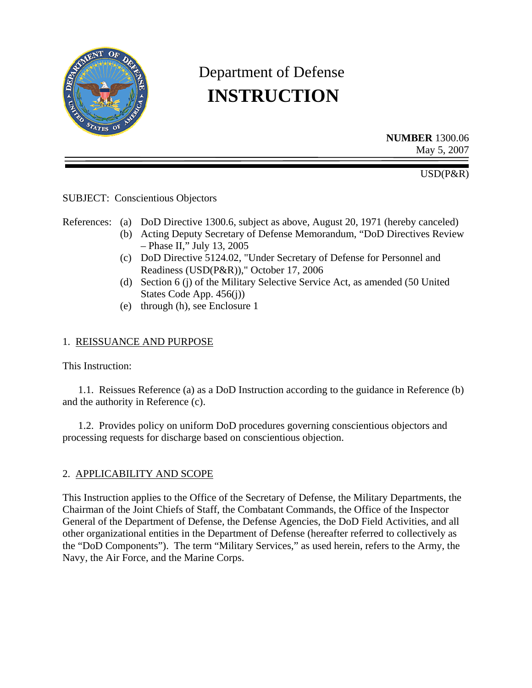

# Department of Defense  **INSTRUCTION**

**NUMBER** 1300.06 May 5, 2007

USD(P&R)

SUBJECT: Conscientious Objectors

References: (a) DoD Directive 1300.6, subject as above, August 20, 1971 (hereby canceled)

- (b) Acting Deputy Secretary of Defense Memorandum, "DoD Directives Review – Phase II," July 13, 2005
- (c) DoD Directive 5124.02, "Under Secretary of Defense for Personnel and Readiness (USD(P&R))," October 17, 2006
- (d) Section 6 (j) of the Military Selective Service Act, as amended (50 United States Code App. 456(j))
- (e) through (h), see Enclosure 1

# 1. REISSUANCE AND PURPOSE

This Instruction:

 1.1. Reissues Reference (a) as a DoD Instruction according to the guidance in Reference (b) and the authority in Reference (c).

 1.2. Provides policy on uniform DoD procedures governing conscientious objectors and processing requests for discharge based on conscientious objection.

# 2. APPLICABILITY AND SCOPE

This Instruction applies to the Office of the Secretary of Defense, the Military Departments, the Chairman of the Joint Chiefs of Staff, the Combatant Commands, the Office of the Inspector General of the Department of Defense, the Defense Agencies, the DoD Field Activities, and all other organizational entities in the Department of Defense (hereafter referred to collectively as the "DoD Components"). The term "Military Services," as used herein, refers to the Army, the Navy, the Air Force, and the Marine Corps.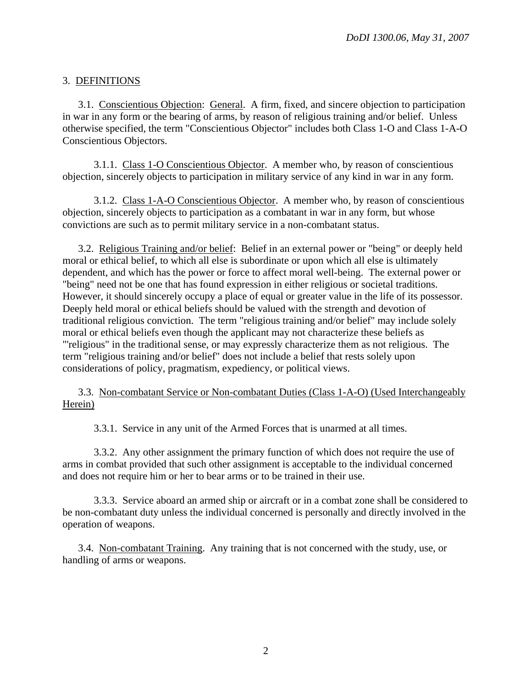# 3. DEFINITIONS

 3.1. Conscientious Objection: General. A firm, fixed, and sincere objection to participation in war in any form or the bearing of arms, by reason of religious training and/or belief. Unless otherwise specified, the term "Conscientious Objector" includes both Class 1-O and Class 1-A-O Conscientious Objectors.

 3.1.1. Class 1-O Conscientious Objector. A member who, by reason of conscientious objection, sincerely objects to participation in military service of any kind in war in any form.

 3.1.2. Class 1-A-O Conscientious Objector. A member who, by reason of conscientious objection, sincerely objects to participation as a combatant in war in any form, but whose convictions are such as to permit military service in a non-combatant status.

 3.2. Religious Training and/or belief: Belief in an external power or "being" or deeply held moral or ethical belief, to which all else is subordinate or upon which all else is ultimately dependent, and which has the power or force to affect moral well-being. The external power or "being" need not be one that has found expression in either religious or societal traditions. However, it should sincerely occupy a place of equal or greater value in the life of its possessor. Deeply held moral or ethical beliefs should be valued with the strength and devotion of traditional religious conviction. The term "religious training and/or belief" may include solely moral or ethical beliefs even though the applicant may not characterize these beliefs as "'religious" in the traditional sense, or may expressly characterize them as not religious. The term "religious training and/or belief" does not include a belief that rests solely upon considerations of policy, pragmatism, expediency, or political views.

 3.3. Non-combatant Service or Non-combatant Duties (Class 1-A-O) (Used Interchangeably Herein)

3.3.1. Service in any unit of the Armed Forces that is unarmed at all times.

 3.3.2. Any other assignment the primary function of which does not require the use of arms in combat provided that such other assignment is acceptable to the individual concerned and does not require him or her to bear arms or to be trained in their use.

 3.3.3. Service aboard an armed ship or aircraft or in a combat zone shall be considered to be non-combatant duty unless the individual concerned is personally and directly involved in the operation of weapons.

 3.4. Non-combatant Training. Any training that is not concerned with the study, use, or handling of arms or weapons.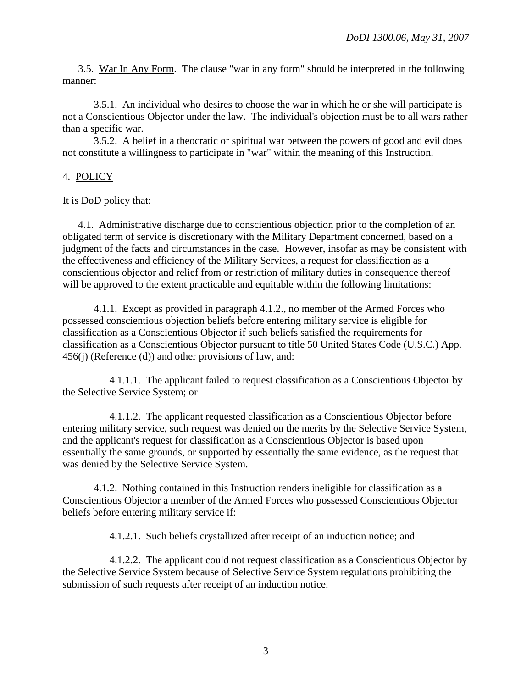3.5. War In Any Form. The clause "war in any form" should be interpreted in the following manner:

 3.5.1. An individual who desires to choose the war in which he or she will participate is not a Conscientious Objector under the law. The individual's objection must be to all wars rather than a specific war.

 3.5.2. A belief in a theocratic or spiritual war between the powers of good and evil does not constitute a willingness to participate in "war" within the meaning of this Instruction.

# 4. POLICY

It is DoD policy that:

 4.1. Administrative discharge due to conscientious objection prior to the completion of an obligated term of service is discretionary with the Military Department concerned, based on a judgment of the facts and circumstances in the case. However, insofar as may be consistent with the effectiveness and efficiency of the Military Services, a request for classification as a conscientious objector and relief from or restriction of military duties in consequence thereof will be approved to the extent practicable and equitable within the following limitations:

 4.1.1. Except as provided in paragraph 4.1.2., no member of the Armed Forces who possessed conscientious objection beliefs before entering military service is eligible for classification as a Conscientious Objector if such beliefs satisfied the requirements for classification as a Conscientious Objector pursuant to title 50 United States Code (U.S.C.) App. 456(j) (Reference (d)) and other provisions of law, and:

 4.1.1.1. The applicant failed to request classification as a Conscientious Objector by the Selective Service System; or

 4.1.1.2. The applicant requested classification as a Conscientious Objector before entering military service, such request was denied on the merits by the Selective Service System, and the applicant's request for classification as a Conscientious Objector is based upon essentially the same grounds, or supported by essentially the same evidence, as the request that was denied by the Selective Service System.

 4.1.2. Nothing contained in this Instruction renders ineligible for classification as a Conscientious Objector a member of the Armed Forces who possessed Conscientious Objector beliefs before entering military service if:

4.1.2.1. Such beliefs crystallized after receipt of an induction notice; and

 4.1.2.2. The applicant could not request classification as a Conscientious Objector by the Selective Service System because of Selective Service System regulations prohibiting the submission of such requests after receipt of an induction notice.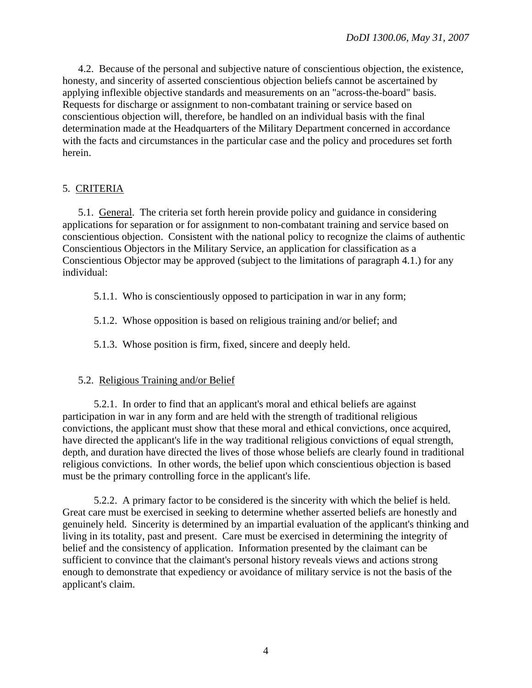4.2. Because of the personal and subjective nature of conscientious objection, the existence, honesty, and sincerity of asserted conscientious objection beliefs cannot be ascertained by applying inflexible objective standards and measurements on an "across-the-board" basis. Requests for discharge or assignment to non-combatant training or service based on conscientious objection will, therefore, be handled on an individual basis with the final determination made at the Headquarters of the Military Department concerned in accordance with the facts and circumstances in the particular case and the policy and procedures set forth herein.

## 5. CRITERIA

 5.1. General. The criteria set forth herein provide policy and guidance in considering applications for separation or for assignment to non-combatant training and service based on conscientious objection. Consistent with the national policy to recognize the claims of authentic Conscientious Objectors in the Military Service, an application for classification as a Conscientious Objector may be approved (subject to the limitations of paragraph 4.1.) for any individual:

5.1.1. Who is conscientiously opposed to participation in war in any form;

5.1.2. Whose opposition is based on religious training and/or belief; and

5.1.3. Whose position is firm, fixed, sincere and deeply held.

#### 5.2. Religious Training and/or Belief

 5.2.1. In order to find that an applicant's moral and ethical beliefs are against participation in war in any form and are held with the strength of traditional religious convictions, the applicant must show that these moral and ethical convictions, once acquired, have directed the applicant's life in the way traditional religious convictions of equal strength, depth, and duration have directed the lives of those whose beliefs are clearly found in traditional religious convictions. In other words, the belief upon which conscientious objection is based must be the primary controlling force in the applicant's life.

 5.2.2. A primary factor to be considered is the sincerity with which the belief is held. Great care must be exercised in seeking to determine whether asserted beliefs are honestly and genuinely held. Sincerity is determined by an impartial evaluation of the applicant's thinking and living in its totality, past and present. Care must be exercised in determining the integrity of belief and the consistency of application. Information presented by the claimant can be sufficient to convince that the claimant's personal history reveals views and actions strong enough to demonstrate that expediency or avoidance of military service is not the basis of the applicant's claim.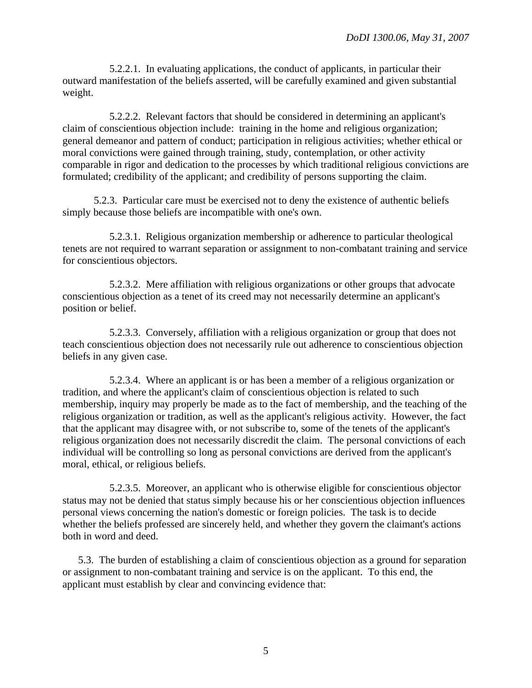5.2.2.1. In evaluating applications, the conduct of applicants, in particular their outward manifestation of the beliefs asserted, will be carefully examined and given substantial weight.

 5.2.2.2. Relevant factors that should be considered in determining an applicant's claim of conscientious objection include: training in the home and religious organization; general demeanor and pattern of conduct; participation in religious activities; whether ethical or moral convictions were gained through training, study, contemplation, or other activity comparable in rigor and dedication to the processes by which traditional religious convictions are formulated; credibility of the applicant; and credibility of persons supporting the claim.

 5.2.3. Particular care must be exercised not to deny the existence of authentic beliefs simply because those beliefs are incompatible with one's own.

 5.2.3.1. Religious organization membership or adherence to particular theological tenets are not required to warrant separation or assignment to non-combatant training and service for conscientious objectors.

 5.2.3.2. Mere affiliation with religious organizations or other groups that advocate conscientious objection as a tenet of its creed may not necessarily determine an applicant's position or belief.

 5.2.3.3. Conversely, affiliation with a religious organization or group that does not teach conscientious objection does not necessarily rule out adherence to conscientious objection beliefs in any given case.

 5.2.3.4. Where an applicant is or has been a member of a religious organization or tradition, and where the applicant's claim of conscientious objection is related to such membership, inquiry may properly be made as to the fact of membership, and the teaching of the religious organization or tradition, as well as the applicant's religious activity. However, the fact that the applicant may disagree with, or not subscribe to, some of the tenets of the applicant's religious organization does not necessarily discredit the claim. The personal convictions of each individual will be controlling so long as personal convictions are derived from the applicant's moral, ethical, or religious beliefs.

 5.2.3.5. Moreover, an applicant who is otherwise eligible for conscientious objector status may not be denied that status simply because his or her conscientious objection influences personal views concerning the nation's domestic or foreign policies. The task is to decide whether the beliefs professed are sincerely held, and whether they govern the claimant's actions both in word and deed.

 5.3. The burden of establishing a claim of conscientious objection as a ground for separation or assignment to non-combatant training and service is on the applicant. To this end, the applicant must establish by clear and convincing evidence that: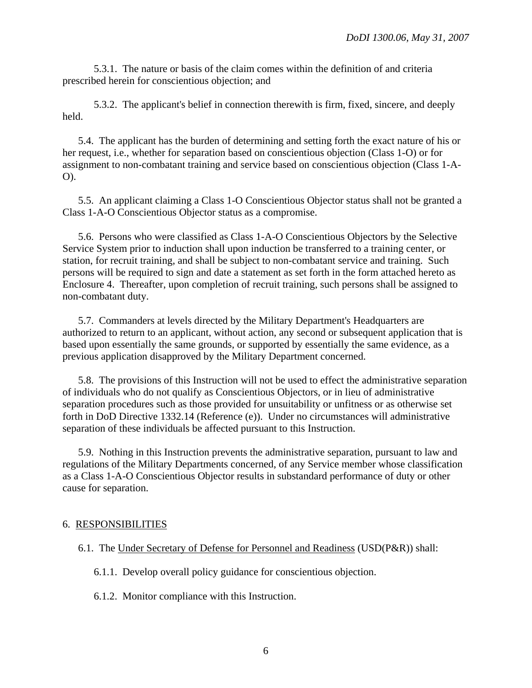5.3.1. The nature or basis of the claim comes within the definition of and criteria prescribed herein for conscientious objection; and

 5.3.2. The applicant's belief in connection therewith is firm, fixed, sincere, and deeply held.

5.4. The applicant has the burden of determining and setting forth the exact nature of his or her request, i.e., whether for separation based on conscientious objection (Class 1-O) or for assignment to non-combatant training and service based on conscientious objection (Class 1-A-O).

 5.5. An applicant claiming a Class 1-O Conscientious Objector status shall not be granted a Class 1-A-O Conscientious Objector status as a compromise.

 5.6. Persons who were classified as Class 1-A-O Conscientious Objectors by the Selective Service System prior to induction shall upon induction be transferred to a training center, or station, for recruit training, and shall be subject to non-combatant service and training. Such persons will be required to sign and date a statement as set forth in the form attached hereto as Enclosure 4. Thereafter, upon completion of recruit training, such persons shall be assigned to non-combatant duty.

 5.7. Commanders at levels directed by the Military Department's Headquarters are authorized to return to an applicant, without action, any second or subsequent application that is based upon essentially the same grounds, or supported by essentially the same evidence, as a previous application disapproved by the Military Department concerned.

 5.8. The provisions of this Instruction will not be used to effect the administrative separation of individuals who do not qualify as Conscientious Objectors, or in lieu of administrative separation procedures such as those provided for unsuitability or unfitness or as otherwise set forth in DoD Directive 1332.14 (Reference (e)). Under no circumstances will administrative separation of these individuals be affected pursuant to this Instruction.

 5.9. Nothing in this Instruction prevents the administrative separation, pursuant to law and regulations of the Military Departments concerned, of any Service member whose classification as a Class 1-A-O Conscientious Objector results in substandard performance of duty or other cause for separation.

# 6. RESPONSIBILITIES

- 6.1. The Under Secretary of Defense for Personnel and Readiness (USD(P&R)) shall:
	- 6.1.1. Develop overall policy guidance for conscientious objection.
	- 6.1.2. Monitor compliance with this Instruction.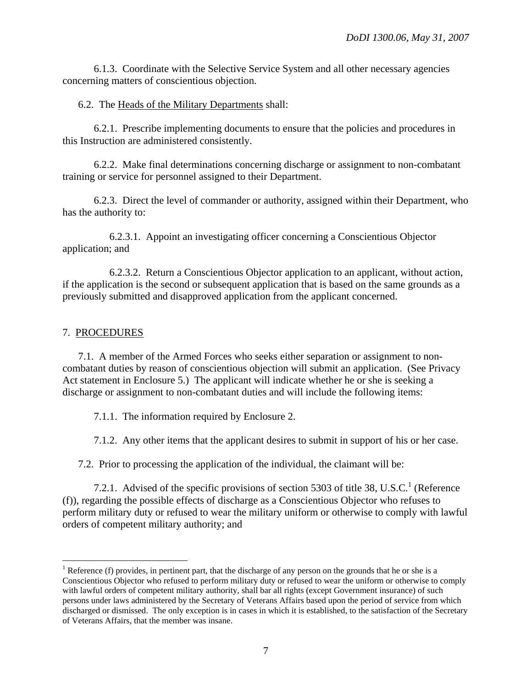6.1.3. Coordinate with the Selective Service System and all other necessary agencies concerning matters of conscientious objection.

## 6.2. The Heads of the Military Departments shall:

 6.2.1. Prescribe implementing documents to ensure that the policies and procedures in this Instruction are administered consistently.

 6.2.2. Make final determinations concerning discharge or assignment to non-combatant training or service for personnel assigned to their Department.

 6.2.3. Direct the level of commander or authority, assigned within their Department, who has the authority to:

 6.2.3.1. Appoint an investigating officer concerning a Conscientious Objector application; and

 6.2.3.2. Return a Conscientious Objector application to an applicant, without action, if the application is the second or subsequent application that is based on the same grounds as a previously submitted and disapproved application from the applicant concerned.

## 7. PROCEDURES

 $\overline{a}$ 

 7.1. A member of the Armed Forces who seeks either separation or assignment to noncombatant duties by reason of conscientious objection will submit an application. (See Privacy Act statement in Enclosure 5.) The applicant will indicate whether he or she is seeking a discharge or assignment to non-combatant duties and will include the following items:

7.1.1. The information required by Enclosure 2.

7.1.2. Any other items that the applicant desires to submit in support of his or her case.

7.2. Prior to processing the application of the individual, the claimant will be:

7.2.1. Advised of the specific provisions of section 5303 of title 38, U.S.C.<sup>1</sup> (Reference (f)), regarding the possible effects of discharge as a Conscientious Objector who refuses to perform military duty or refused to wear the military uniform or otherwise to comply with lawful orders of competent military authority; and

<sup>&</sup>lt;sup>1</sup> Reference (f) provides, in pertinent part, that the discharge of any person on the grounds that he or she is a Conscientious Objector who refused to perform military duty or refused to wear the uniform or otherwise to comply with lawful orders of competent military authority, shall bar all rights (except Government insurance) of such persons under laws administered by the Secretary of Veterans Affairs based upon the period of service from which discharged or dismissed. The only exception is in cases in which it is established, to the satisfaction of the Secretary of Veterans Affairs, that the member was insane.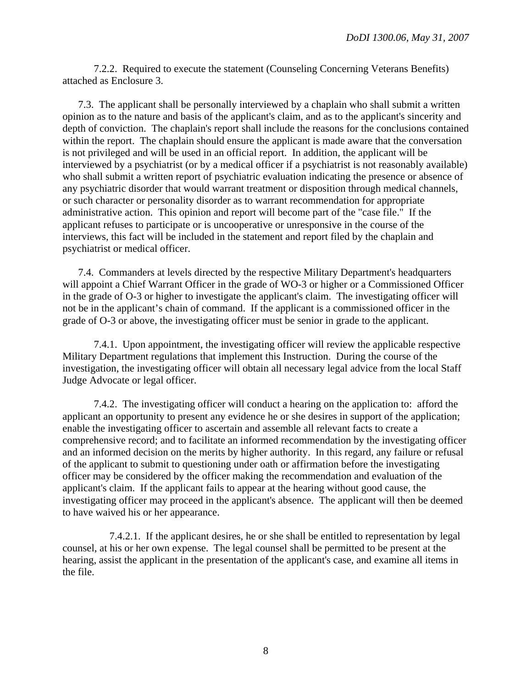7.2.2. Required to execute the statement (Counseling Concerning Veterans Benefits) attached as Enclosure 3.

 7.3. The applicant shall be personally interviewed by a chaplain who shall submit a written opinion as to the nature and basis of the applicant's claim, and as to the applicant's sincerity and depth of conviction. The chaplain's report shall include the reasons for the conclusions contained within the report. The chaplain should ensure the applicant is made aware that the conversation is not privileged and will be used in an official report. In addition, the applicant will be interviewed by a psychiatrist (or by a medical officer if a psychiatrist is not reasonably available) who shall submit a written report of psychiatric evaluation indicating the presence or absence of any psychiatric disorder that would warrant treatment or disposition through medical channels, or such character or personality disorder as to warrant recommendation for appropriate administrative action. This opinion and report will become part of the "case file." If the applicant refuses to participate or is uncooperative or unresponsive in the course of the interviews, this fact will be included in the statement and report filed by the chaplain and psychiatrist or medical officer.

 7.4. Commanders at levels directed by the respective Military Department's headquarters will appoint a Chief Warrant Officer in the grade of WO-3 or higher or a Commissioned Officer in the grade of O-3 or higher to investigate the applicant's claim. The investigating officer will not be in the applicant's chain of command. If the applicant is a commissioned officer in the grade of O-3 or above, the investigating officer must be senior in grade to the applicant.

 7.4.1. Upon appointment, the investigating officer will review the applicable respective Military Department regulations that implement this Instruction. During the course of the investigation, the investigating officer will obtain all necessary legal advice from the local Staff Judge Advocate or legal officer.

 7.4.2. The investigating officer will conduct a hearing on the application to: afford the applicant an opportunity to present any evidence he or she desires in support of the application; enable the investigating officer to ascertain and assemble all relevant facts to create a comprehensive record; and to facilitate an informed recommendation by the investigating officer and an informed decision on the merits by higher authority. In this regard, any failure or refusal of the applicant to submit to questioning under oath or affirmation before the investigating officer may be considered by the officer making the recommendation and evaluation of the applicant's claim. If the applicant fails to appear at the hearing without good cause, the investigating officer may proceed in the applicant's absence. The applicant will then be deemed to have waived his or her appearance.

 7.4.2.1. If the applicant desires, he or she shall be entitled to representation by legal counsel, at his or her own expense. The legal counsel shall be permitted to be present at the hearing, assist the applicant in the presentation of the applicant's case, and examine all items in the file.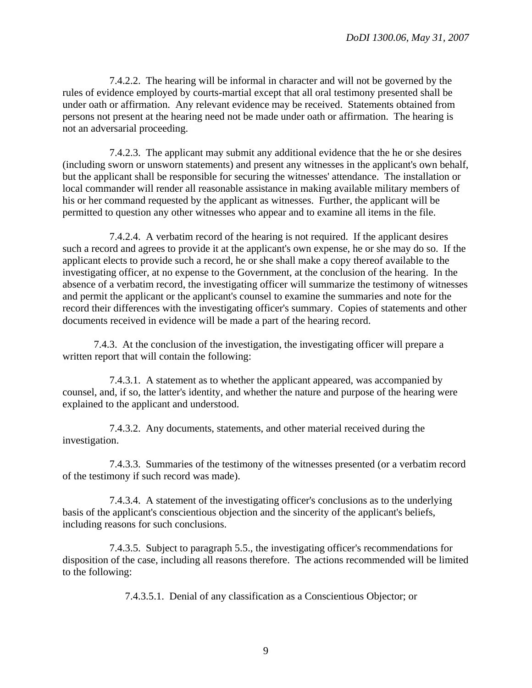7.4.2.2. The hearing will be informal in character and will not be governed by the rules of evidence employed by courts-martial except that all oral testimony presented shall be under oath or affirmation. Any relevant evidence may be received. Statements obtained from persons not present at the hearing need not be made under oath or affirmation. The hearing is not an adversarial proceeding.

 7.4.2.3. The applicant may submit any additional evidence that the he or she desires (including sworn or unsworn statements) and present any witnesses in the applicant's own behalf, but the applicant shall be responsible for securing the witnesses' attendance. The installation or local commander will render all reasonable assistance in making available military members of his or her command requested by the applicant as witnesses. Further, the applicant will be permitted to question any other witnesses who appear and to examine all items in the file.

 7.4.2.4. A verbatim record of the hearing is not required. If the applicant desires such a record and agrees to provide it at the applicant's own expense, he or she may do so. If the applicant elects to provide such a record, he or she shall make a copy thereof available to the investigating officer, at no expense to the Government, at the conclusion of the hearing. In the absence of a verbatim record, the investigating officer will summarize the testimony of witnesses and permit the applicant or the applicant's counsel to examine the summaries and note for the record their differences with the investigating officer's summary. Copies of statements and other documents received in evidence will be made a part of the hearing record.

 7.4.3. At the conclusion of the investigation, the investigating officer will prepare a written report that will contain the following:

 7.4.3.1. A statement as to whether the applicant appeared, was accompanied by counsel, and, if so, the latter's identity, and whether the nature and purpose of the hearing were explained to the applicant and understood.

 7.4.3.2. Any documents, statements, and other material received during the investigation.

 7.4.3.3. Summaries of the testimony of the witnesses presented (or a verbatim record of the testimony if such record was made).

 7.4.3.4. A statement of the investigating officer's conclusions as to the underlying basis of the applicant's conscientious objection and the sincerity of the applicant's beliefs, including reasons for such conclusions.

 7.4.3.5. Subject to paragraph 5.5., the investigating officer's recommendations for disposition of the case, including all reasons therefore. The actions recommended will be limited to the following:

7.4.3.5.1. Denial of any classification as a Conscientious Objector; or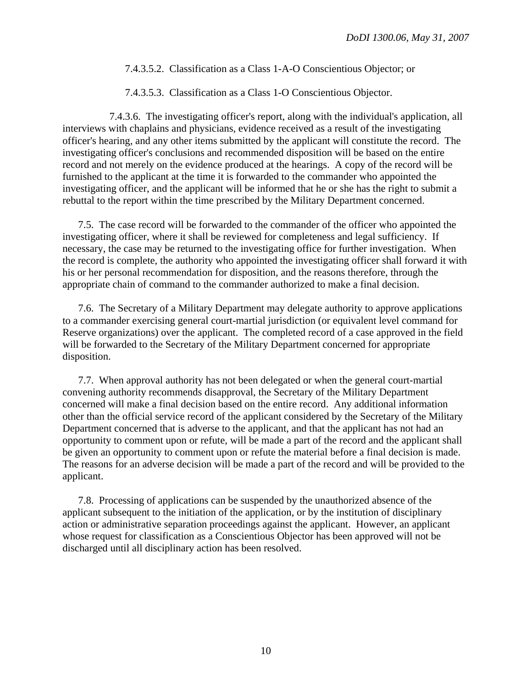#### 7.4.3.5.2. Classification as a Class 1-A-O Conscientious Objector; or

7.4.3.5.3. Classification as a Class 1-O Conscientious Objector.

7.4.3.6. The investigating officer's report, along with the individual's application, all interviews with chaplains and physicians, evidence received as a result of the investigating officer's hearing, and any other items submitted by the applicant will constitute the record. The investigating officer's conclusions and recommended disposition will be based on the entire record and not merely on the evidence produced at the hearings. A copy of the record will be furnished to the applicant at the time it is forwarded to the commander who appointed the investigating officer, and the applicant will be informed that he or she has the right to submit a rebuttal to the report within the time prescribed by the Military Department concerned.

 7.5. The case record will be forwarded to the commander of the officer who appointed the investigating officer, where it shall be reviewed for completeness and legal sufficiency. If necessary, the case may be returned to the investigating office for further investigation. When the record is complete, the authority who appointed the investigating officer shall forward it with his or her personal recommendation for disposition, and the reasons therefore, through the appropriate chain of command to the commander authorized to make a final decision.

 7.6. The Secretary of a Military Department may delegate authority to approve applications to a commander exercising general court-martial jurisdiction (or equivalent level command for Reserve organizations) over the applicant. The completed record of a case approved in the field will be forwarded to the Secretary of the Military Department concerned for appropriate disposition.

 7.7. When approval authority has not been delegated or when the general court-martial convening authority recommends disapproval, the Secretary of the Military Department concerned will make a final decision based on the entire record. Any additional information other than the official service record of the applicant considered by the Secretary of the Military Department concerned that is adverse to the applicant, and that the applicant has not had an opportunity to comment upon or refute, will be made a part of the record and the applicant shall be given an opportunity to comment upon or refute the material before a final decision is made. The reasons for an adverse decision will be made a part of the record and will be provided to the applicant.

 7.8. Processing of applications can be suspended by the unauthorized absence of the applicant subsequent to the initiation of the application, or by the institution of disciplinary action or administrative separation proceedings against the applicant. However, an applicant whose request for classification as a Conscientious Objector has been approved will not be discharged until all disciplinary action has been resolved.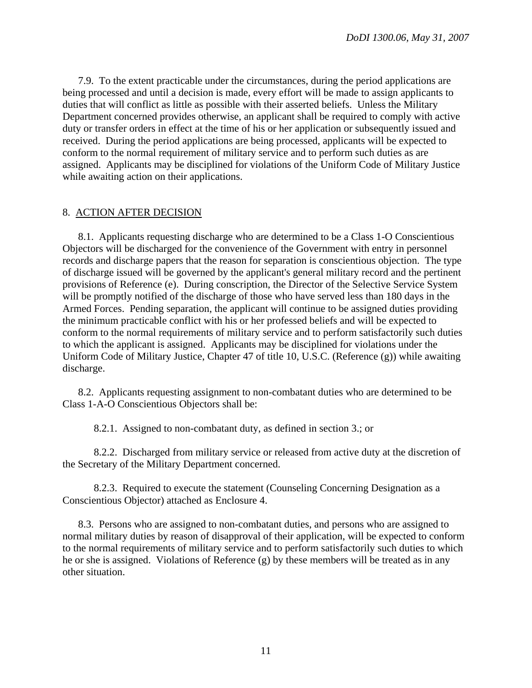7.9. To the extent practicable under the circumstances, during the period applications are being processed and until a decision is made, every effort will be made to assign applicants to duties that will conflict as little as possible with their asserted beliefs. Unless the Military Department concerned provides otherwise, an applicant shall be required to comply with active duty or transfer orders in effect at the time of his or her application or subsequently issued and received. During the period applications are being processed, applicants will be expected to conform to the normal requirement of military service and to perform such duties as are assigned. Applicants may be disciplined for violations of the Uniform Code of Military Justice while awaiting action on their applications.

#### 8. ACTION AFTER DECISION

 8.1. Applicants requesting discharge who are determined to be a Class 1-O Conscientious Objectors will be discharged for the convenience of the Government with entry in personnel records and discharge papers that the reason for separation is conscientious objection. The type of discharge issued will be governed by the applicant's general military record and the pertinent provisions of Reference (e). During conscription, the Director of the Selective Service System will be promptly notified of the discharge of those who have served less than 180 days in the Armed Forces. Pending separation, the applicant will continue to be assigned duties providing the minimum practicable conflict with his or her professed beliefs and will be expected to conform to the normal requirements of military service and to perform satisfactorily such duties to which the applicant is assigned. Applicants may be disciplined for violations under the Uniform Code of Military Justice, Chapter 47 of title 10, U.S.C. (Reference (g)) while awaiting discharge.

 8.2. Applicants requesting assignment to non-combatant duties who are determined to be Class 1-A-O Conscientious Objectors shall be:

8.2.1. Assigned to non-combatant duty, as defined in section 3.; or

 8.2.2. Discharged from military service or released from active duty at the discretion of the Secretary of the Military Department concerned.

 8.2.3. Required to execute the statement (Counseling Concerning Designation as a Conscientious Objector) attached as Enclosure 4.

 8.3. Persons who are assigned to non-combatant duties, and persons who are assigned to normal military duties by reason of disapproval of their application, will be expected to conform to the normal requirements of military service and to perform satisfactorily such duties to which he or she is assigned. Violations of Reference (g) by these members will be treated as in any other situation.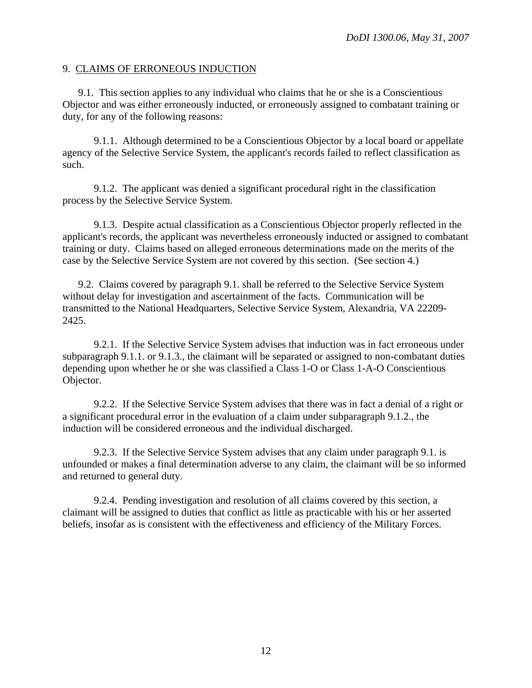#### 9. CLAIMS OF ERRONEOUS INDUCTION

 9.1. This section applies to any individual who claims that he or she is a Conscientious Objector and was either erroneously inducted, or erroneously assigned to combatant training or duty, for any of the following reasons:

 9.1.1. Although determined to be a Conscientious Objector by a local board or appellate agency of the Selective Service System, the applicant's records failed to reflect classification as such.

 9.1.2. The applicant was denied a significant procedural right in the classification process by the Selective Service System.

 9.1.3. Despite actual classification as a Conscientious Objector properly reflected in the applicant's records, the applicant was nevertheless erroneously inducted or assigned to combatant training or duty. Claims based on alleged erroneous determinations made on the merits of the case by the Selective Service System are not covered by this section. (See section 4.)

 9.2. Claims covered by paragraph 9.1. shall be referred to the Selective Service System without delay for investigation and ascertainment of the facts. Communication will be transmitted to the National Headquarters, Selective Service System, Alexandria, VA 22209- 2425.

 9.2.1. If the Selective Service System advises that induction was in fact erroneous under subparagraph 9.1.1. or 9.1.3., the claimant will be separated or assigned to non-combatant duties depending upon whether he or she was classified a Class 1-O or Class 1-A-O Conscientious Objector.

 9.2.2. If the Selective Service System advises that there was in fact a denial of a right or a significant procedural error in the evaluation of a claim under subparagraph 9.1.2., the induction will be considered erroneous and the individual discharged.

 9.2.3. If the Selective Service System advises that any claim under paragraph 9.1. is unfounded or makes a final determination adverse to any claim, the claimant will be so informed and returned to general duty.

 9.2.4. Pending investigation and resolution of all claims covered by this section, a claimant will be assigned to duties that conflict as little as practicable with his or her asserted beliefs, insofar as is consistent with the effectiveness and efficiency of the Military Forces.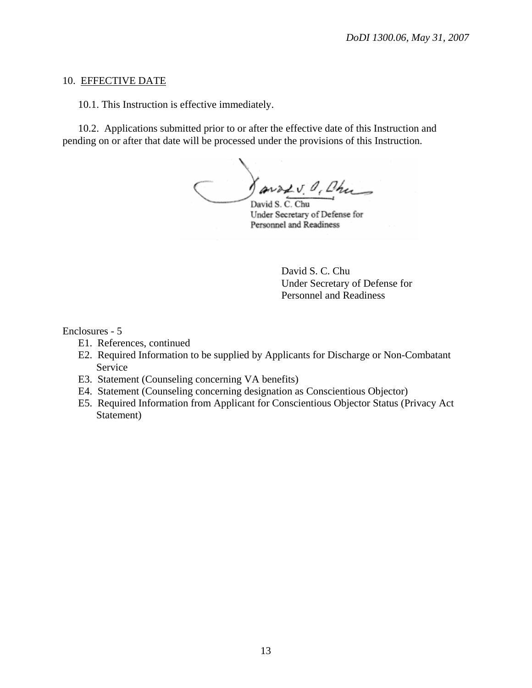#### 10. EFFECTIVE DATE

10.1. This Instruction is effective immediately.

 10.2. Applications submitted prior to or after the effective date of this Instruction and pending on or after that date will be processed under the provisions of this Instruction.

Javadv. O. Chu David S. C. Chu

Under Secretary of Defense for Personnel and Readiness

 David S. C. Chu Under Secretary of Defense for Personnel and Readiness

#### Enclosures - 5

- E1. References, continued
- E2. Required Information to be supplied by Applicants for Discharge or Non-Combatant Service
- E3. Statement (Counseling concerning VA benefits)
- E4. Statement (Counseling concerning designation as Conscientious Objector)
- E5. Required Information from Applicant for Conscientious Objector Status (Privacy Act Statement)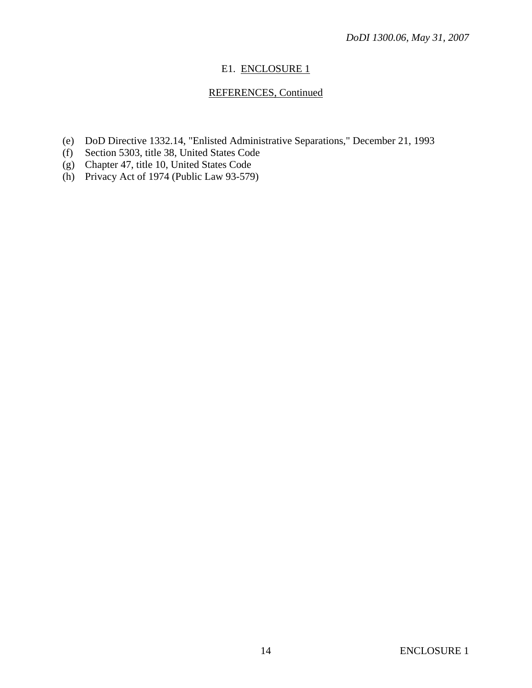# E1. ENCLOSURE 1

# REFERENCES, Continued

- (e) DoD Directive 1332.14, "Enlisted Administrative Separations," December 21, 1993
- (f) Section 5303, title 38, United States Code
- (g) Chapter 47, title 10, United States Code
- (h) Privacy Act of 1974 (Public Law 93-579)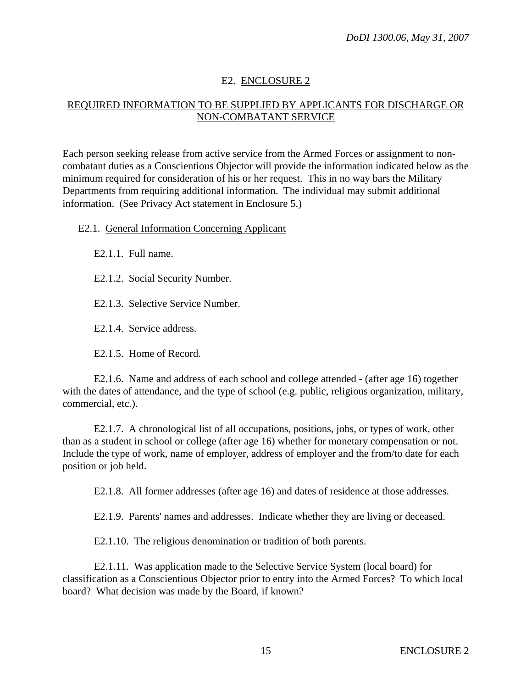# E2. ENCLOSURE 2

# REQUIRED INFORMATION TO BE SUPPLIED BY APPLICANTS FOR DISCHARGE OR NON-COMBATANT SERVICE

Each person seeking release from active service from the Armed Forces or assignment to noncombatant duties as a Conscientious Objector will provide the information indicated below as the minimum required for consideration of his or her request. This in no way bars the Military Departments from requiring additional information. The individual may submit additional information. (See Privacy Act statement in Enclosure 5.)

E2.1. General Information Concerning Applicant

E2.1.1. Full name.

E2.1.2. Social Security Number.

E2.1.3. Selective Service Number.

E2.1.4. Service address.

E2.1.5. Home of Record.

 E2.1.6. Name and address of each school and college attended - (after age 16) together with the dates of attendance, and the type of school (e.g. public, religious organization, military, commercial, etc.).

 E2.1.7. A chronological list of all occupations, positions, jobs, or types of work, other than as a student in school or college (after age 16) whether for monetary compensation or not. Include the type of work, name of employer, address of employer and the from/to date for each position or job held.

E2.1.8. All former addresses (after age 16) and dates of residence at those addresses.

E2.1.9. Parents' names and addresses. Indicate whether they are living or deceased.

E2.1.10. The religious denomination or tradition of both parents.

 E2.1.11. Was application made to the Selective Service System (local board) for classification as a Conscientious Objector prior to entry into the Armed Forces? To which local board? What decision was made by the Board, if known?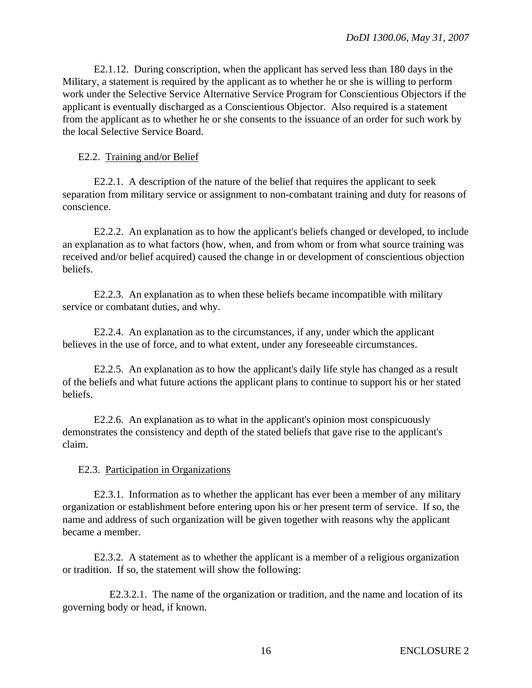E2.1.12. During conscription, when the applicant has served less than 180 days in the Military, a statement is required by the applicant as to whether he or she is willing to perform work under the Selective Service Alternative Service Program for Conscientious Objectors if the applicant is eventually discharged as a Conscientious Objector. Also required is a statement from the applicant as to whether he or she consents to the issuance of an order for such work by the local Selective Service Board.

E2.2. Training and/or Belief

 E2.2.1. A description of the nature of the belief that requires the applicant to seek separation from military service or assignment to non-combatant training and duty for reasons of conscience.

 E2.2.2. An explanation as to how the applicant's beliefs changed or developed, to include an explanation as to what factors (how, when, and from whom or from what source training was received and/or belief acquired) caused the change in or development of conscientious objection beliefs.

 E2.2.3. An explanation as to when these beliefs became incompatible with military service or combatant duties, and why.

 E2.2.4. An explanation as to the circumstances, if any, under which the applicant believes in the use of force, and to what extent, under any foreseeable circumstances.

 E2.2.5. An explanation as to how the applicant's daily life style has changed as a result of the beliefs and what future actions the applicant plans to continue to support his or her stated beliefs.

 E2.2.6. An explanation as to what in the applicant's opinion most conspicuously demonstrates the consistency and depth of the stated beliefs that gave rise to the applicant's claim.

# E2.3. Participation in Organizations

 E2.3.1. Information as to whether the applicant has ever been a member of any military organization or establishment before entering upon his or her present term of service. If so, the name and address of such organization will be given together with reasons why the applicant became a member.

 E2.3.2. A statement as to whether the applicant is a member of a religious organization or tradition. If so, the statement will show the following:

 E2.3.2.1. The name of the organization or tradition, and the name and location of its governing body or head, if known.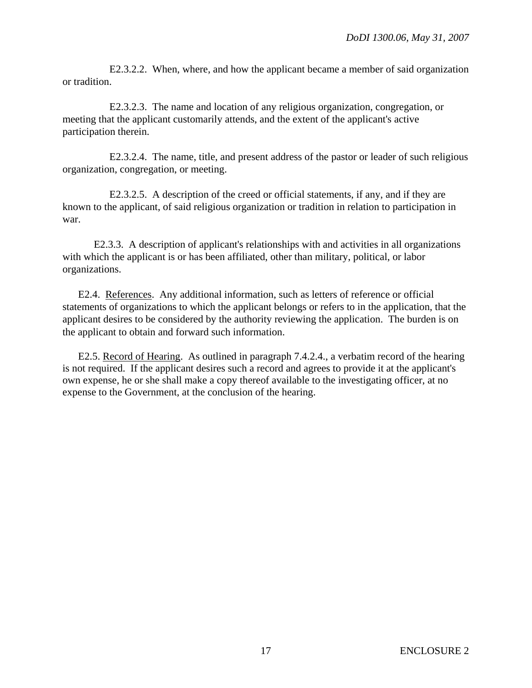E2.3.2.2. When, where, and how the applicant became a member of said organization or tradition.

 E2.3.2.3. The name and location of any religious organization, congregation, or meeting that the applicant customarily attends, and the extent of the applicant's active participation therein.

 E2.3.2.4. The name, title, and present address of the pastor or leader of such religious organization, congregation, or meeting.

 E2.3.2.5. A description of the creed or official statements, if any, and if they are known to the applicant, of said religious organization or tradition in relation to participation in war.

 E2.3.3. A description of applicant's relationships with and activities in all organizations with which the applicant is or has been affiliated, other than military, political, or labor organizations.

 E2.4. References. Any additional information, such as letters of reference or official statements of organizations to which the applicant belongs or refers to in the application, that the applicant desires to be considered by the authority reviewing the application. The burden is on the applicant to obtain and forward such information.

 E2.5. Record of Hearing. As outlined in paragraph 7.4.2.4., a verbatim record of the hearing is not required. If the applicant desires such a record and agrees to provide it at the applicant's own expense, he or she shall make a copy thereof available to the investigating officer, at no expense to the Government, at the conclusion of the hearing.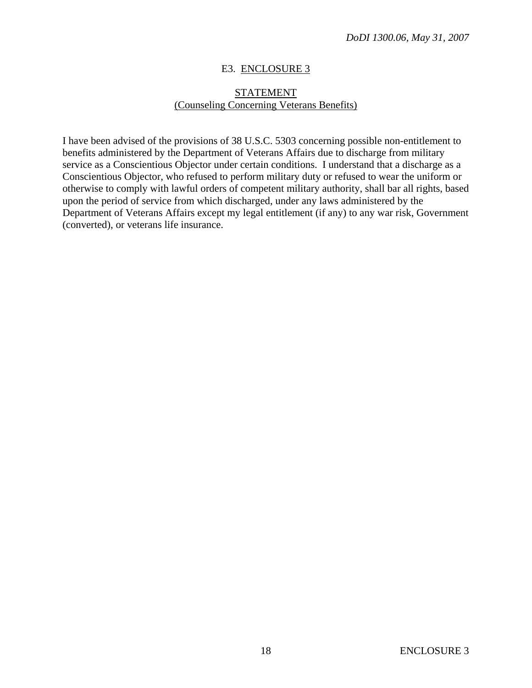## E3. ENCLOSURE 3

## STATEMENT (Counseling Concerning Veterans Benefits)

I have been advised of the provisions of 38 U.S.C. 5303 concerning possible non-entitlement to benefits administered by the Department of Veterans Affairs due to discharge from military service as a Conscientious Objector under certain conditions. I understand that a discharge as a Conscientious Objector, who refused to perform military duty or refused to wear the uniform or otherwise to comply with lawful orders of competent military authority, shall bar all rights, based upon the period of service from which discharged, under any laws administered by the Department of Veterans Affairs except my legal entitlement (if any) to any war risk, Government (converted), or veterans life insurance.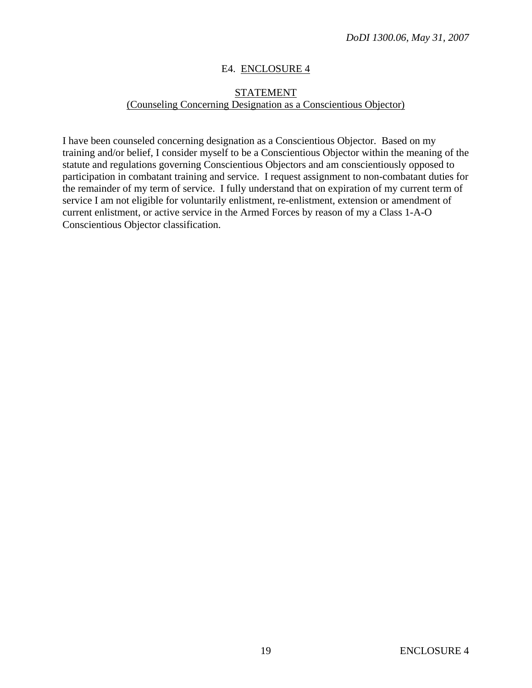## E4. ENCLOSURE 4

# STATEMENT (Counseling Concerning Designation as a Conscientious Objector)

I have been counseled concerning designation as a Conscientious Objector. Based on my training and/or belief, I consider myself to be a Conscientious Objector within the meaning of the statute and regulations governing Conscientious Objectors and am conscientiously opposed to participation in combatant training and service. I request assignment to non-combatant duties for the remainder of my term of service. I fully understand that on expiration of my current term of service I am not eligible for voluntarily enlistment, re-enlistment, extension or amendment of current enlistment, or active service in the Armed Forces by reason of my a Class 1-A-O Conscientious Objector classification.